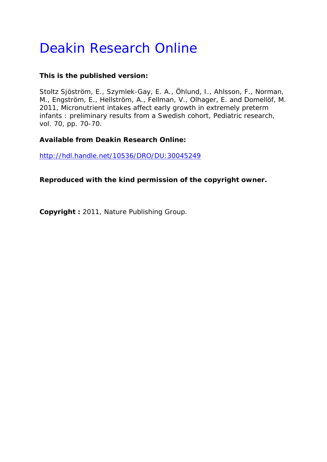# Deakin Research Online

#### **This is the published version:**

Stoltz Sjöström, E., Szymlek-Gay, E. A., Öhlund, I., Ahlsson, F., Norman, M., Engström, E., Hellström, A., Fellman, V., Olhager, E. and Domellöf, M. 2011, Micronutrient intakes affect early growth in extremely preterm infants : preliminary results from a Swedish cohort*, Pediatric research*, vol. 70, pp. 70-70.

### **Available from Deakin Research Online:**

http://hdl.handle.net/10536/DRO/DU:30045249

## **Reproduced with the kind permission of the copyright owner.**

**Copyright :** 2011, Nature Publishing Group.